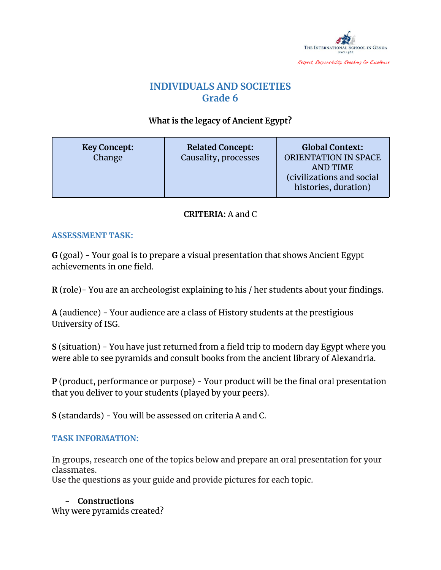

# **INDIVIDUALS AND SOCIETIES Grade 6**

## **What is the legacy of Ancient Egypt?**

| <b>Key Concept:</b><br>Change | <b>Related Concept:</b><br>Causality, processes | <b>Global Context:</b><br><b>ORIENTATION IN SPACE</b><br><b>AND TIME</b><br>(civilizations and social<br>histories, duration) |
|-------------------------------|-------------------------------------------------|-------------------------------------------------------------------------------------------------------------------------------|
|-------------------------------|-------------------------------------------------|-------------------------------------------------------------------------------------------------------------------------------|

### **CRITERIA:** A and C

#### **ASSESSMENT TASK:**

**G** (goal) - Your goal is to prepare a visual presentation that shows Ancient Egypt achievements in one field.

**R** (role)- You are an archeologist explaining to his / her students about your findings.

**A** (audience) - Your audience are a class of History students at the prestigious University of ISG.

**S** (situation) - You have just returned from a field trip to modern day Egypt where you were able to see pyramids and consult books from the ancient library of Alexandria.

**P** (product, performance or purpose) - Your product will be the final oral presentation that you deliver to your students (played by your peers).

**S** (standards) - You will be assessed on criteria A and C.

#### **TASK INFORMATION:**

In groups, research one of the topics below and prepare an oral presentation for your classmates.

Use the questions as your guide and provide pictures for each topic.

**- Constructions** Why were pyramids created?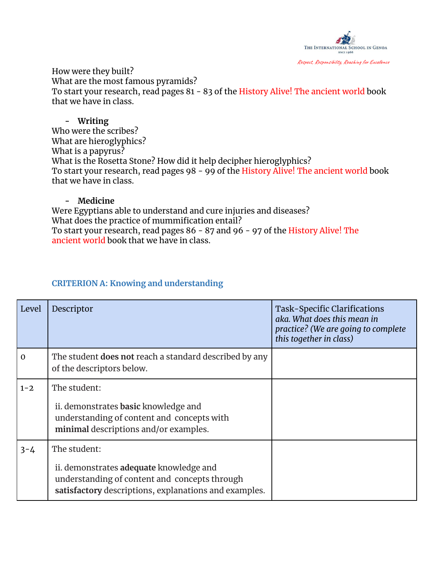

How were they built? What are the most famous pyramids? To start your research, read pages 81 - 83 of the History Alive! The ancient world book that we have in class.

#### **- Writing**

Who were the scribes? What are hieroglyphics? What is a papyrus? What is the Rosetta Stone? How did it help decipher hieroglyphics? To start your research, read pages 98 - 99 of the History Alive! The ancient world book that we have in class.

#### **- Medicine**

Were Egyptians able to understand and cure injuries and diseases? What does the practice of mummification entail? To start your research, read pages 86 - 87 and 96 - 97 of the History Alive! The ancient world book that we have in class.

#### **CRITERION A: Knowing and understanding**

| Level       | Descriptor                                                                                                                                                        | Task-Specific Clarifications<br>aka. What does this mean in<br>practice? (We are going to complete<br>this together in class) |
|-------------|-------------------------------------------------------------------------------------------------------------------------------------------------------------------|-------------------------------------------------------------------------------------------------------------------------------|
| $\mathbf 0$ | The student <b>does not</b> reach a standard described by any<br>of the descriptors below.                                                                        |                                                                                                                               |
| $1 - 2$     | The student:<br>ii. demonstrates basic knowledge and<br>understanding of content and concepts with<br>minimal descriptions and/or examples.                       |                                                                                                                               |
| $3 - 4$     | The student:<br>ii. demonstrates adequate knowledge and<br>understanding of content and concepts through<br>satisfactory descriptions, explanations and examples. |                                                                                                                               |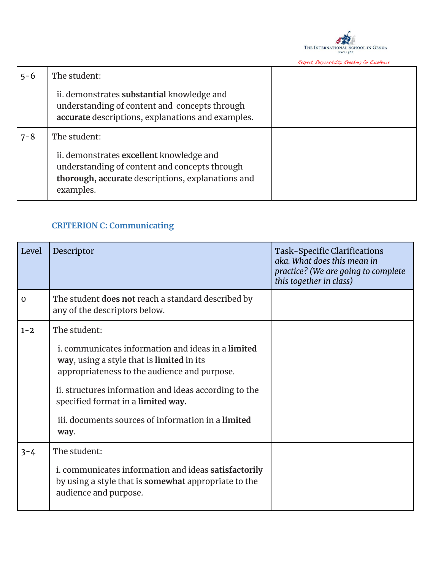

Respect, Responsibility, Reaching for Excellence

| $5 - 6$ | The student:                                                                                                                                                |  |
|---------|-------------------------------------------------------------------------------------------------------------------------------------------------------------|--|
|         | ii. demonstrates substantial knowledge and<br>understanding of content and concepts through<br>accurate descriptions, explanations and examples.            |  |
| $7 - 8$ | The student:                                                                                                                                                |  |
|         | ii. demonstrates excellent knowledge and<br>understanding of content and concepts through<br>thorough, accurate descriptions, explanations and<br>examples. |  |

# **CRITERION C: Communicating**

| Level        | Descriptor                                                                                                                                                                                                                                                                                                                   | Task-Specific Clarifications<br>aka. What does this mean in<br>practice? (We are going to complete<br>this together in class) |
|--------------|------------------------------------------------------------------------------------------------------------------------------------------------------------------------------------------------------------------------------------------------------------------------------------------------------------------------------|-------------------------------------------------------------------------------------------------------------------------------|
| $\mathbf{O}$ | The student does not reach a standard described by<br>any of the descriptors below.                                                                                                                                                                                                                                          |                                                                                                                               |
| $1 - 2$      | The student:<br>i. communicates information and ideas in a limited<br>way, using a style that is limited in its<br>appropriateness to the audience and purpose.<br>ii. structures information and ideas according to the<br>specified format in a limited way.<br>iii. documents sources of information in a limited<br>way. |                                                                                                                               |
| $3 - 4$      | The student:<br>i. communicates information and ideas satisfactorily<br>by using a style that is <b>somewhat</b> appropriate to the<br>audience and purpose.                                                                                                                                                                 |                                                                                                                               |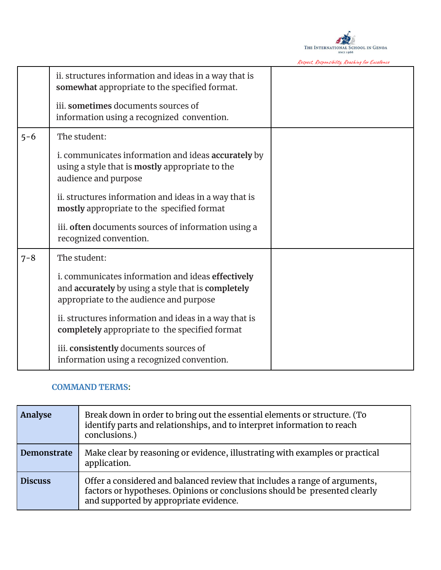

Respect, Responsibility, Reaching for Excellence

|         | ii. structures information and ideas in a way that is<br>somewhat appropriate to the specified format.                                             |  |
|---------|----------------------------------------------------------------------------------------------------------------------------------------------------|--|
|         | iii. sometimes documents sources of<br>information using a recognized convention.                                                                  |  |
| $5 - 6$ | The student:                                                                                                                                       |  |
|         | i. communicates information and ideas accurately by<br>using a style that is mostly appropriate to the<br>audience and purpose                     |  |
|         | ii. structures information and ideas in a way that is<br>mostly appropriate to the specified format                                                |  |
|         | iii. often documents sources of information using a<br>recognized convention.                                                                      |  |
| $7 - 8$ | The student:                                                                                                                                       |  |
|         | i. communicates information and ideas effectively<br>and accurately by using a style that is completely<br>appropriate to the audience and purpose |  |
|         | ii. structures information and ideas in a way that is<br>completely appropriate to the specified format                                            |  |
|         | iii. consistently documents sources of<br>information using a recognized convention.                                                               |  |

#### **COMMAND TERMS:**

| Analyse        | Break down in order to bring out the essential elements or structure. (To<br>identify parts and relationships, and to interpret information to reach<br>conclusions.)                              |
|----------------|----------------------------------------------------------------------------------------------------------------------------------------------------------------------------------------------------|
| Demonstrate    | Make clear by reasoning or evidence, illustrating with examples or practical<br>application.                                                                                                       |
| <b>Discuss</b> | Offer a considered and balanced review that includes a range of arguments,<br>factors or hypotheses. Opinions or conclusions should be presented clearly<br>and supported by appropriate evidence. |